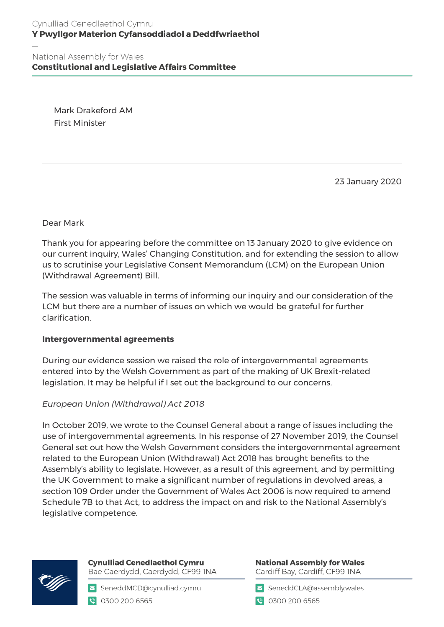**Constitutional and Legislative Affairs Committee** 

Mark Drakeford AM First Minister

23 January 2020

Dear Mark

Thank you for appearing before the committee on 13 January 2020 to give evidence on our current inquiry, Wales' Changing Constitution, and for extending the session to allow us to scrutinise your Legislative Consent Memorandum (LCM) on the European Union (Withdrawal Agreement) Bill.

The session was valuable in terms of informing our inquiry and our consideration of the LCM but there are a number of issues on which we would be grateful for further clarification.

## **Intergovernmental agreements**

During our evidence session we raised the role of intergovernmental agreements entered into by the Welsh Government as part of the making of UK Brexit-related legislation. It may be helpful if I set out the background to our concerns.

# *European Union (Withdrawal) Act 2018*

In October 2019, we wrote to the Counsel General about a range of issues including the use of intergovernmental agreements. In his response of 27 November 2019, the Counsel General set out how the Welsh Government considers the intergovernmental agreement related to the European Union (Withdrawal) Act 2018 has brought benefits to the Assembly's ability to legislate. However, as a result of this agreement, and by permitting the UK Government to make a significant number of regulations in devolved areas, a section 109 Order under the Government of Wales Act 2006 is now required to amend Schedule 7B to that Act, to address the impact on and risk to the National Assembly's legislative competence.



**Cynulliad Cenedlaethol Cymru** Bae Caerdydd, Caerdydd, CF99 INA

SeneddMCD@cynulliad.cymru **@** 0300 200 6565

**National Assembly for Wales** Cardiff Bay, Cardiff, CF99 INA

SeneddCLA@assembly.wales

● 0300 200 6565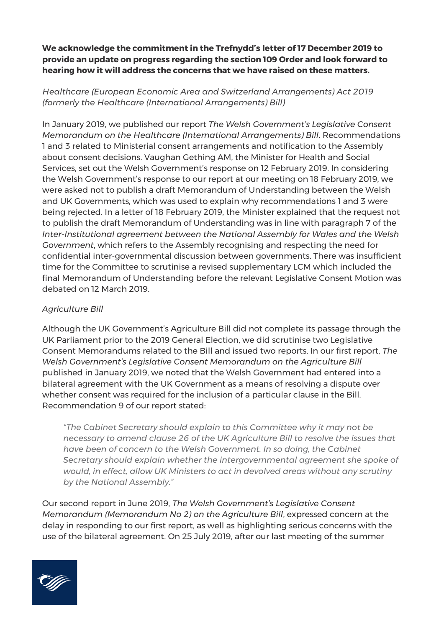**We acknowledge the commitment in the Trefnydd's letter of 17 December 2019 to provide an update on progress regarding the section 109 Order and look forward to hearing how it will address the concerns that we have raised on these matters.** 

*Healthcare (European Economic Area and Switzerland Arrangements) Act 2019 (formerly the Healthcare (International Arrangements) Bill)*

In January 2019, we published our report *The Welsh Government's Legislative Consent Memorandum on the Healthcare (International Arrangements) Bill*. Recommendations 1 and 3 related to Ministerial consent arrangements and notification to the Assembly about consent decisions. Vaughan Gething AM, the Minister for Health and Social Services, set out the Welsh Government's response on 12 February 2019. In considering the Welsh Government's response to our report at our meeting on 18 February 2019, we were asked not to publish a draft Memorandum of Understanding between the Welsh and UK Governments, which was used to explain why recommendations 1 and 3 were being rejected. In a letter of 18 February 2019, the Minister explained that the request not to publish the draft Memorandum of Understanding was in line with paragraph 7 of the *Inter-Institutional agreement between the National Assembly for Wales and the Welsh Government*, which refers to the Assembly recognising and respecting the need for confidential inter-governmental discussion between governments. There was insufficient time for the Committee to scrutinise a revised supplementary LCM which included the final Memorandum of Understanding before the relevant Legislative Consent Motion was debated on 12 March 2019.

# *Agriculture Bill*

Although the UK Government's Agriculture Bill did not complete its passage through the UK Parliament prior to the 2019 General Election, we did scrutinise two Legislative Consent Memorandums related to the Bill and issued two reports. In our first report, *The Welsh Government's Legislative Consent Memorandum on the Agriculture Bill* published in January 2019, we noted that the Welsh Government had entered into a bilateral agreement with the UK Government as a means of resolving a dispute over whether consent was required for the inclusion of a particular clause in the Bill. Recommendation 9 of our report stated:

*"The Cabinet Secretary should explain to this Committee why it may not be necessary to amend clause 26 of the UK Agriculture Bill to resolve the issues that have been of concern to the Welsh Government. In so doing, the Cabinet Secretary should explain whether the intergovernmental agreement she spoke of would, in effect, allow UK Ministers to act in devolved areas without any scrutiny by the National Assembly."*

Our second report in June 2019, *The Welsh Government's Legislative Consent Memorandum (Memorandum No 2) on the Agriculture Bill*, expressed concern at the delay in responding to our first report, as well as highlighting serious concerns with the use of the bilateral agreement. On 25 July 2019, after our last meeting of the summer

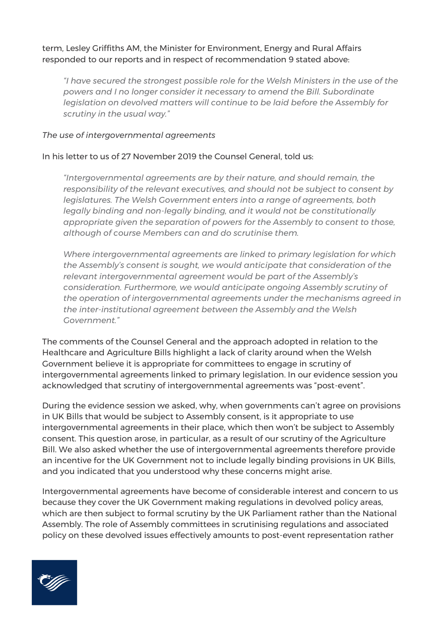term, Lesley Griffiths AM, the Minister for Environment, Energy and Rural Affairs responded to our reports and in respect of recommendation 9 stated above:

*"I have secured the strongest possible role for the Welsh Ministers in the use of the powers and I no longer consider it necessary to amend the Bill. Subordinate legislation on devolved matters will continue to be laid before the Assembly for scrutiny in the usual way."*

#### *The use of intergovernmental agreements*

#### In his letter to us of 27 November 2019 the Counsel General, told us:

*"Intergovernmental agreements are by their nature, and should remain, the responsibility of the relevant executives, and should not be subject to consent by legislatures. The Welsh Government enters into a range of agreements, both legally binding and non-legally binding, and it would not be constitutionally appropriate given the separation of powers for the Assembly to consent to those, although of course Members can and do scrutinise them.*

*Where intergovernmental agreements are linked to primary legislation for which the Assembly's consent is sought, we would anticipate that consideration of the relevant intergovernmental agreement would be part of the Assembly's consideration. Furthermore, we would anticipate ongoing Assembly scrutiny of the operation of intergovernmental agreements under the mechanisms agreed in the inter-institutional agreement between the Assembly and the Welsh Government."*

The comments of the Counsel General and the approach adopted in relation to the Healthcare and Agriculture Bills highlight a lack of clarity around when the Welsh Government believe it is appropriate for committees to engage in scrutiny of intergovernmental agreements linked to primary legislation. In our evidence session you acknowledged that scrutiny of intergovernmental agreements was "post-event".

During the evidence session we asked, why, when governments can't agree on provisions in UK Bills that would be subject to Assembly consent, is it appropriate to use intergovernmental agreements in their place, which then won't be subject to Assembly consent. This question arose, in particular, as a result of our scrutiny of the Agriculture Bill. We also asked whether the use of intergovernmental agreements therefore provide an incentive for the UK Government not to include legally binding provisions in UK Bills, and you indicated that you understood why these concerns might arise.

Intergovernmental agreements have become of considerable interest and concern to us because they cover the UK Government making regulations in devolved policy areas, which are then subject to formal scrutiny by the UK Parliament rather than the National Assembly. The role of Assembly committees in scrutinising regulations and associated policy on these devolved issues effectively amounts to post-event representation rather

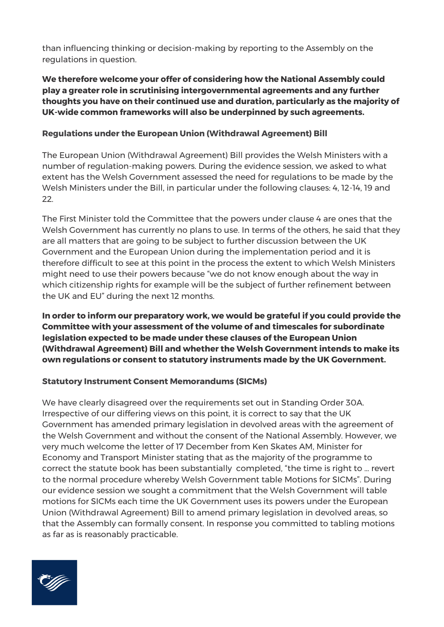than influencing thinking or decision-making by reporting to the Assembly on the regulations in question.

# **We therefore welcome your offer of considering how the National Assembly could play a greater role in scrutinising intergovernmental agreements and any further thoughts you have on their continued use and duration, particularly as the majority of UK-wide common frameworks will also be underpinned by such agreements.**

### **Regulations under the European Union (Withdrawal Agreement) Bill**

The European Union (Withdrawal Agreement) Bill provides the Welsh Ministers with a number of regulation-making powers. During the evidence session, we asked to what extent has the Welsh Government assessed the need for regulations to be made by the Welsh Ministers under the Bill, in particular under the following clauses: 4, 12-14, 19 and 22.

The First Minister told the Committee that the powers under clause 4 are ones that the Welsh Government has currently no plans to use. In terms of the others, he said that they are all matters that are going to be subject to further discussion between the UK Government and the European Union during the implementation period and it is therefore difficult to see at this point in the process the extent to which Welsh Ministers might need to use their powers because "we do not know enough about the way in which citizenship rights for example will be the subject of further refinement between the UK and EU" during the next 12 months.

**In order to inform our preparatory work, we would be grateful if you could provide the Committee with your assessment of the volume of and timescales for subordinate legislation expected to be made under these clauses of the European Union (Withdrawal Agreement) Bill and whether the Welsh Government intends to make its own regulations or consent to statutory instruments made by the UK Government.** 

#### **Statutory Instrument Consent Memorandums (SICMs)**

We have clearly disagreed over the requirements set out in Standing Order 30A. Irrespective of our differing views on this point, it is correct to say that the UK Government has amended primary legislation in devolved areas with the agreement of the Welsh Government and without the consent of the National Assembly. However, we very much welcome the letter of 17 December from Ken Skates AM, Minister for Economy and Transport Minister stating that as the majority of the programme to correct the statute book has been substantially completed, "the time is right to … revert to the normal procedure whereby Welsh Government table Motions for SICMs". During our evidence session we sought a commitment that the Welsh Government will table motions for SICMs each time the UK Government uses its powers under the European Union (Withdrawal Agreement) Bill to amend primary legislation in devolved areas, so that the Assembly can formally consent. In response you committed to tabling motions as far as is reasonably practicable.